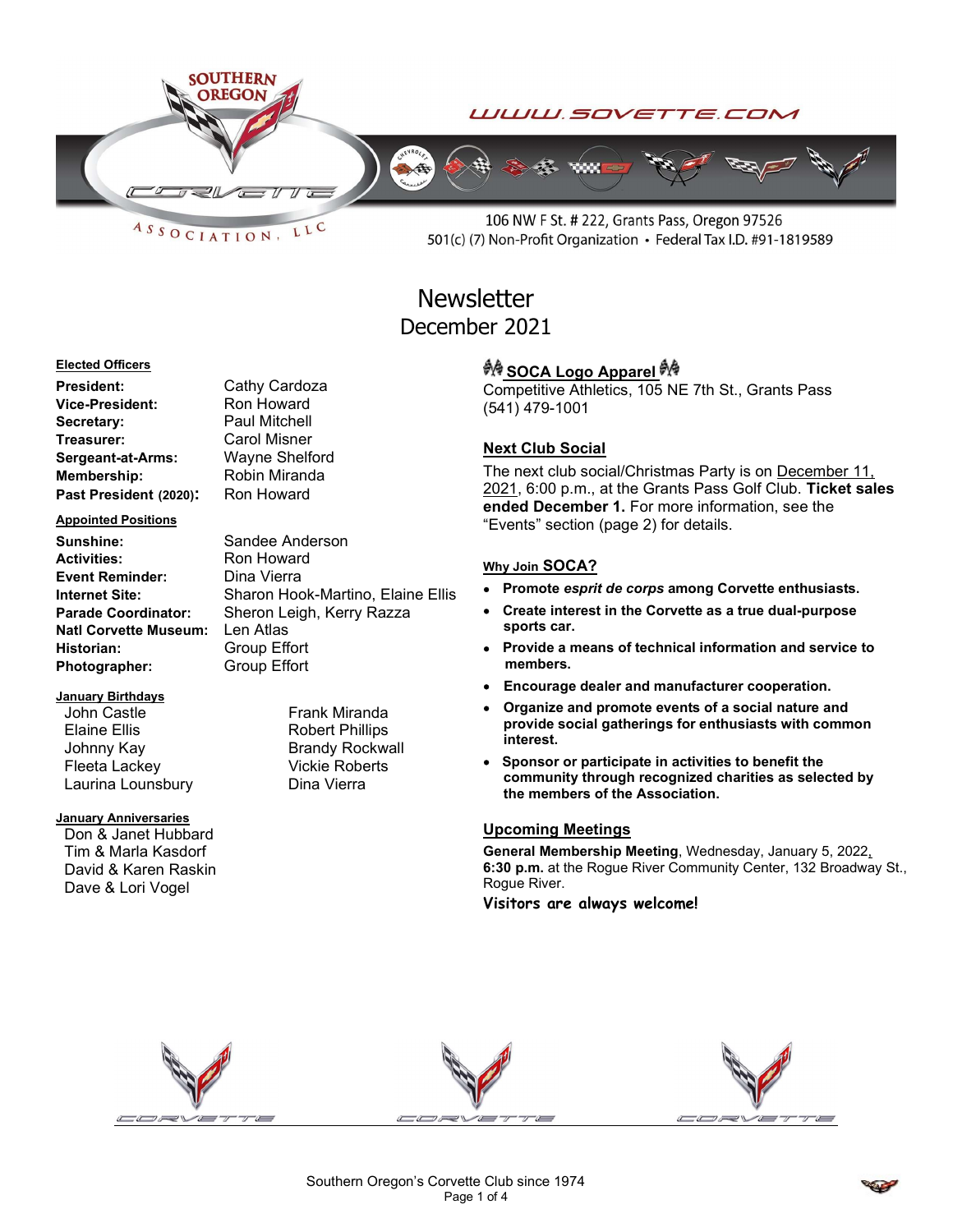

 $ASSOCIATION$ LLC

106 NW F St. # 222, Grants Pass, Oregon 97526 501(c) (7) Non-Profit Organization • Federal Tax I.D. #91-1819589

Competitive Athletics, 105 NE 7th St., Grants Pass

ended December 1. For more information, see the

• Promote esprit de corps among Corvette enthusiasts. Create interest in the Corvette as a true dual-purpose

Provide a means of technical information and service to

community through recognized charities as selected by

General Membership Meeting, Wednesday, January 5, 2022, 6:30 p.m. at the Rogue River Community Center, 132 Broadway St.,

"Events" section (page 2) for details.

the members of the Association.

Visitors are always welcome!

The next club social/Christmas Party is on December 11, 2021, 6:00 p.m., at the Grants Pass Golf Club. Ticket sales

ग्रै∲ SOCA Logo Apparel ग्रै∲

(541) 479-1001

Next Club Social

Why Join SOCA?

sports car.

Upcoming Meetings

Rogue River.

## **Newsletter** December 2021

#### Elected Officers

President: Cathy Cardoza Vice-President: Ron Howard Secretary: Paul Mitchell Treasurer: Carol Misner Sergeant-at-Arms: Wayne Shelford Membership: Robin Miranda Past President (2020): Ron Howard

#### Appointed Positions

Sunshine: Sandee Anderson Activities: Ron Howard Event Reminder: Dina Vierra Natl Corvette Museum: Len Atlas Historian: Group Effort Photographer: Group Effort

#### January Birthdays

John Castle **Frank Miranda** Elaine Ellis Robert Phillips Johnny Kay **Brandy Rockwall** Fleeta Lackey Vickie Roberts Laurina Lounsbury **Dina Vierra** 

#### **January Anniversaries**

Don & Janet Hubbard Tim & Marla Kasdorf David & Karen Raskin Dave & Lori Vogel

Internet Site: Sharon Hook-Martino, Elaine Ellis Parade Coordinator: Sheron Leigh, Kerry Razza



members. Encourage dealer and manufacturer cooperation. Organize and promote events of a social nature and provide social gatherings for enthusiasts with common interest. Sponsor or participate in activities to benefit the

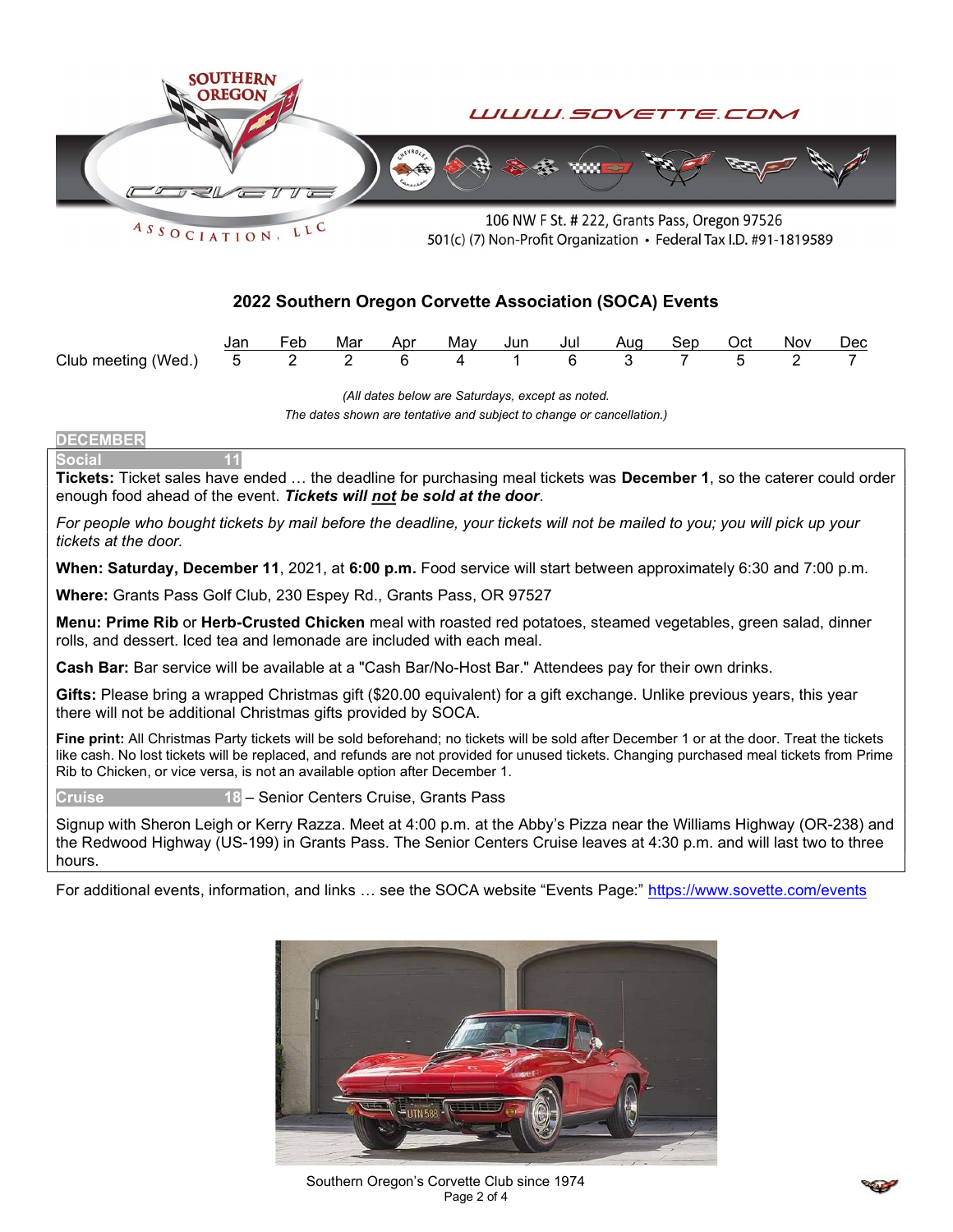

### 2022 Southern Oregon Corvette Association (SOCA) Events

|                                             |  |  |  | Feb Mar Apr May Jun Jul Aug Sep Oct Nov Dec |  |  |
|---------------------------------------------|--|--|--|---------------------------------------------|--|--|
| Club meeting (Wed.) 5 2 2 6 4 1 6 3 7 5 2 7 |  |  |  |                                             |  |  |

(All dates below are Saturdays, except as noted.

The dates shown are tentative and subject to change or cancellation.)

#### **DECEMBER**

**Social** 

Tickets: Ticket sales have ended ... the deadline for purchasing meal tickets was December 1, so the caterer could order enough food ahead of the event. Tickets will not be sold at the door.

For people who bought tickets by mail before the deadline, your tickets will not be mailed to you; you will pick up your tickets at the door.

When: Saturday, December 11, 2021, at 6:00 p.m. Food service will start between approximately 6:30 and 7:00 p.m.

Where: Grants Pass Golf Club, 230 Espey Rd., Grants Pass, OR 97527

Menu: Prime Rib or Herb-Crusted Chicken meal with roasted red potatoes, steamed vegetables, green salad, dinner rolls, and dessert. Iced tea and lemonade are included with each meal.

Cash Bar: Bar service will be available at a "Cash Bar/No-Host Bar." Attendees pay for their own drinks.

Gifts: Please bring a wrapped Christmas gift (\$20.00 equivalent) for a gift exchange. Unlike previous years, this year there will not be additional Christmas gifts provided by SOCA.

Fine print: All Christmas Party tickets will be sold beforehand; no tickets will be sold after December 1 or at the door. Treat the tickets like cash. No lost tickets will be replaced, and refunds are not provided for unused tickets. Changing purchased meal tickets from Prime Rib to Chicken, or vice versa, is not an available option after December 1.

Cruise 18 – Senior Centers Cruise, Grants Pass

Signup with Sheron Leigh or Kerry Razza. Meet at 4:00 p.m. at the Abby's Pizza near the Williams Highway (OR-238) and the Redwood Highway (US-199) in Grants Pass. The Senior Centers Cruise leaves at 4:30 p.m. and will last two to three hours.

For additional events, information, and links … see the SOCA website "Events Page:" https://www.sovette.com/events



Southern Oregon's Corvette Club since 1974 Page 2 of 4

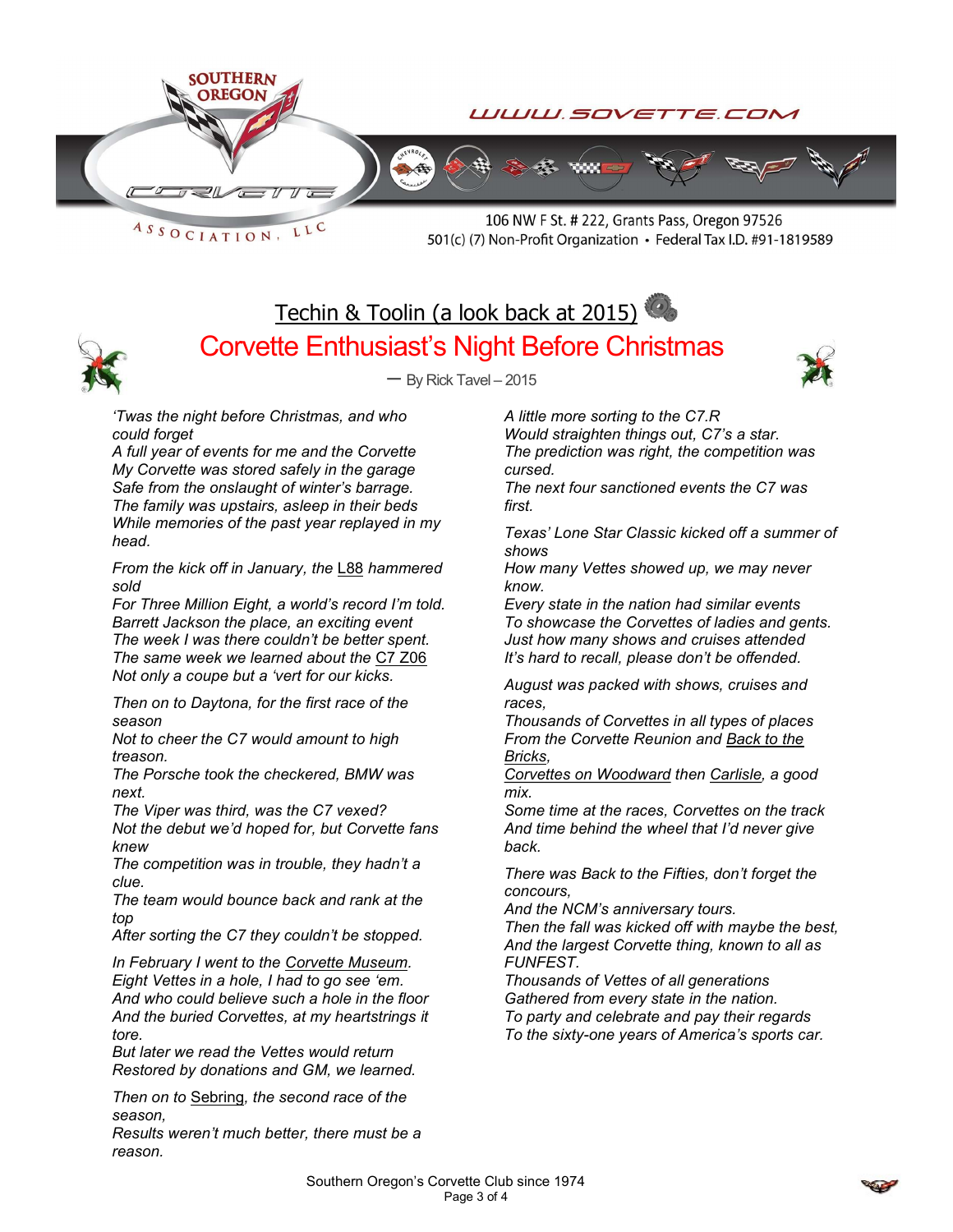

ASSOCIATION, LLC

106 NW F St. # 222, Grants Pass, Oregon 97526 501(c) (7) Non-Profit Organization • Federal Tax I.D. #91-1819589

# Techin & Toolin (a look back at 2015) Corvette Enthusiast's Night Before Christmas



 $-$  By Rick Tavel  $-2015$ 



'Twas the night before Christmas, and who could forget

A full year of events for me and the Corvette My Corvette was stored safely in the garage Safe from the onslaught of winter's barrage. The family was upstairs, asleep in their beds While memories of the past year replayed in my head.

From the kick off in January, the L88 hammered sold

For Three Million Eight, a world's record I'm told. Barrett Jackson the place, an exciting event The week I was there couldn't be better spent. The same week we learned about the C7 Z06 Not only a coupe but a 'vert for our kicks.

Then on to Daytona, for the first race of the season

Not to cheer the C7 would amount to high treason.

The Porsche took the checkered, BMW was next.

The Viper was third, was the C7 vexed? Not the debut we'd hoped for, but Corvette fans knew

The competition was in trouble, they hadn't a clue.

The team would bounce back and rank at the top

After sorting the C7 they couldn't be stopped.

In February I went to the Corvette Museum. Eight Vettes in a hole, I had to go see 'em. And who could believe such a hole in the floor And the buried Corvettes, at my heartstrings it tore.

But later we read the Vettes would return Restored by donations and GM, we learned.

Then on to Sebring, the second race of the season,

Results weren't much better, there must be a reason.

A little more sorting to the C7.R Would straighten things out, C7's a star. The prediction was right, the competition was cursed.

The next four sanctioned events the C7 was first.

Texas' Lone Star Classic kicked off a summer of shows

How many Vettes showed up, we may never know.

Every state in the nation had similar events To showcase the Corvettes of ladies and gents. Just how many shows and cruises attended It's hard to recall, please don't be offended.

August was packed with shows, cruises and races,

Thousands of Corvettes in all types of places From the Corvette Reunion and Back to the Bricks,

Corvettes on Woodward then Carlisle, a good mix.

Some time at the races, Corvettes on the track And time behind the wheel that I'd never give back.

There was Back to the Fifties, don't forget the concours,

And the NCM's anniversary tours.

Then the fall was kicked off with maybe the best, And the largest Corvette thing, known to all as FUNFEST.

Thousands of Vettes of all generations Gathered from every state in the nation. To party and celebrate and pay their regards To the sixty-one years of America's sports car.